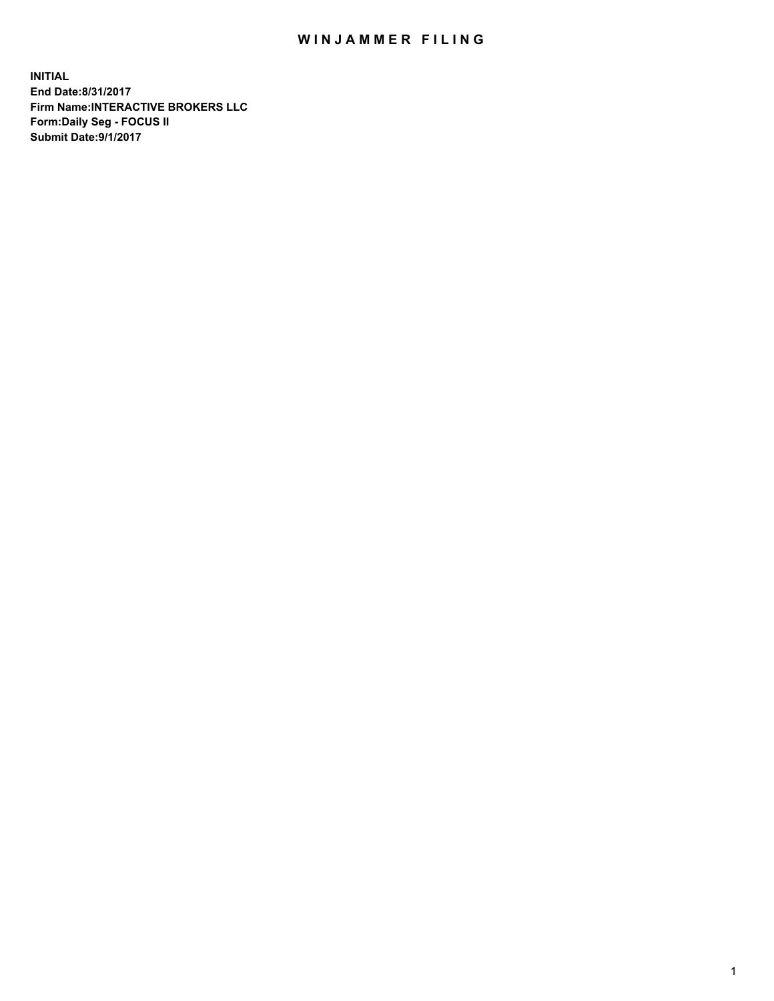## WIN JAMMER FILING

**INITIAL End Date:8/31/2017 Firm Name:INTERACTIVE BROKERS LLC Form:Daily Seg - FOCUS II Submit Date:9/1/2017**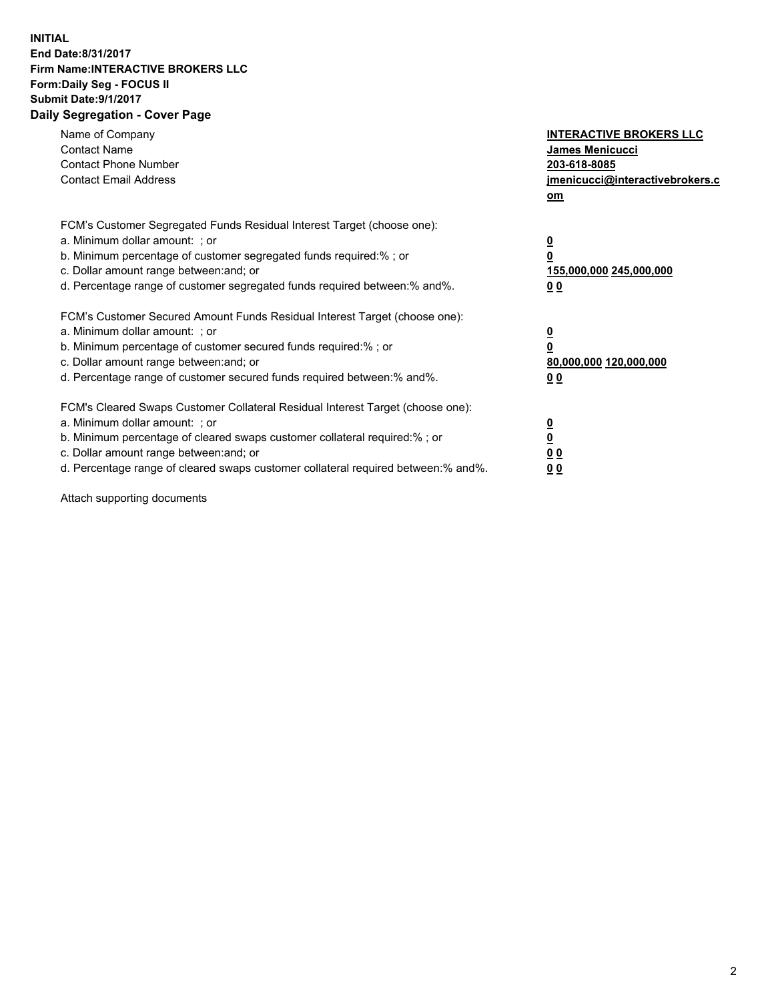## **INITIAL End Date:8/31/2017 Firm Name:INTERACTIVE BROKERS LLC Form:Daily Seg - FOCUS II Submit Date:9/1/2017 Daily Segregation - Cover Page**

| Name of Company<br><b>Contact Name</b><br><b>Contact Phone Number</b><br><b>Contact Email Address</b>                                                                                                                                                                                                                          | <b>INTERACTIVE BROKERS LLC</b><br><b>James Menicucci</b><br>203-618-8085<br>jmenicucci@interactivebrokers.c<br>om |
|--------------------------------------------------------------------------------------------------------------------------------------------------------------------------------------------------------------------------------------------------------------------------------------------------------------------------------|-------------------------------------------------------------------------------------------------------------------|
| FCM's Customer Segregated Funds Residual Interest Target (choose one):<br>a. Minimum dollar amount: ; or<br>b. Minimum percentage of customer segregated funds required:% ; or<br>c. Dollar amount range between: and; or<br>d. Percentage range of customer segregated funds required between:% and%.                         | $\overline{\mathbf{0}}$<br>0<br>155,000,000 245,000,000<br>0 <sub>0</sub>                                         |
| FCM's Customer Secured Amount Funds Residual Interest Target (choose one):<br>a. Minimum dollar amount: ; or<br>b. Minimum percentage of customer secured funds required:%; or<br>c. Dollar amount range between: and; or<br>d. Percentage range of customer secured funds required between: % and %.                          | $\overline{\mathbf{0}}$<br>$\overline{\mathbf{0}}$<br>80,000,000 120,000,000<br>00                                |
| FCM's Cleared Swaps Customer Collateral Residual Interest Target (choose one):<br>a. Minimum dollar amount: ; or<br>b. Minimum percentage of cleared swaps customer collateral required:% ; or<br>c. Dollar amount range between: and; or<br>d. Percentage range of cleared swaps customer collateral required between:% and%. | $\overline{\mathbf{0}}$<br>$\overline{\mathbf{0}}$<br>0 <sub>0</sub><br>0 <sub>0</sub>                            |

Attach supporting documents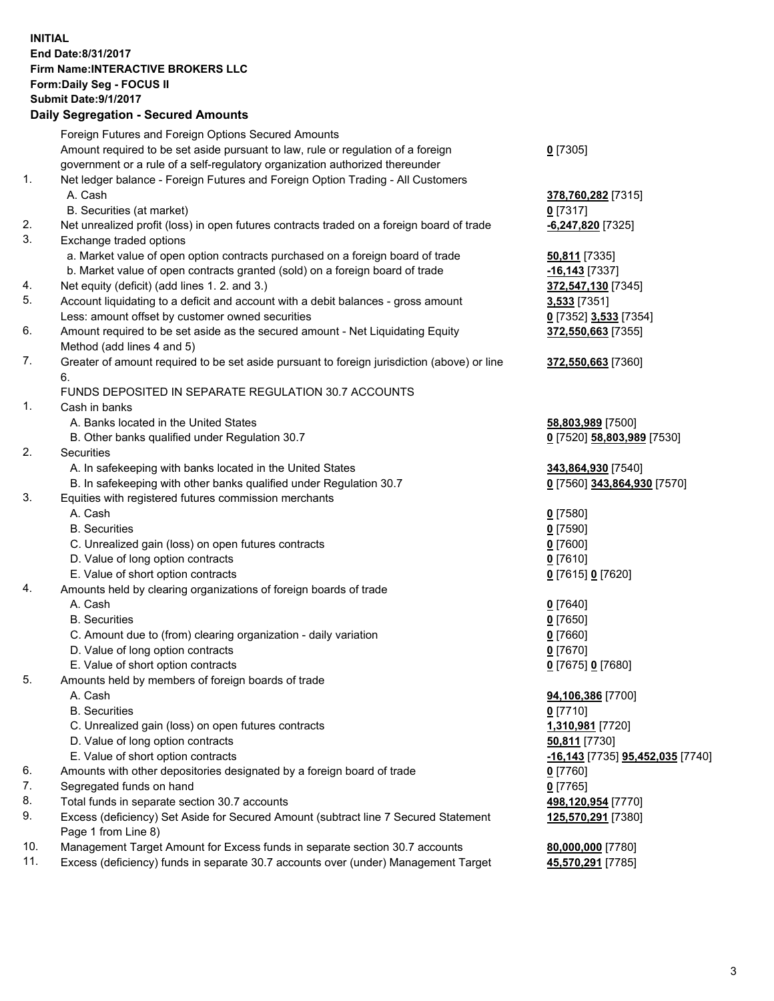## **INITIAL End Date:8/31/2017 Firm Name:INTERACTIVE BROKERS LLC Form:Daily Seg - FOCUS II Submit Date:9/1/2017 Daily Segregation - Secured Amounts**

|     | Foreign Futures and Foreign Options Secured Amounts                                         |                                  |
|-----|---------------------------------------------------------------------------------------------|----------------------------------|
|     | Amount required to be set aside pursuant to law, rule or regulation of a foreign            | $0$ [7305]                       |
|     | government or a rule of a self-regulatory organization authorized thereunder                |                                  |
| 1.  | Net ledger balance - Foreign Futures and Foreign Option Trading - All Customers             |                                  |
|     | A. Cash                                                                                     | 378,760,282 [7315]               |
|     | B. Securities (at market)                                                                   | $0$ [7317]                       |
| 2.  | Net unrealized profit (loss) in open futures contracts traded on a foreign board of trade   | $-6,247,820$ [7325]              |
| 3.  | Exchange traded options                                                                     |                                  |
|     | a. Market value of open option contracts purchased on a foreign board of trade              | <b>50,811</b> [7335]             |
|     | b. Market value of open contracts granted (sold) on a foreign board of trade                | $-16,143$ [7337]                 |
| 4.  | Net equity (deficit) (add lines 1.2. and 3.)                                                | 372,547,130 [7345]               |
| 5.  | Account liquidating to a deficit and account with a debit balances - gross amount           | 3,533 [7351]                     |
|     | Less: amount offset by customer owned securities                                            |                                  |
| 6.  |                                                                                             | 0 [7352] 3,533 [7354]            |
|     | Amount required to be set aside as the secured amount - Net Liquidating Equity              | 372,550,663 [7355]               |
|     | Method (add lines 4 and 5)                                                                  |                                  |
| 7.  | Greater of amount required to be set aside pursuant to foreign jurisdiction (above) or line | 372,550,663 [7360]               |
|     | 6.                                                                                          |                                  |
|     | FUNDS DEPOSITED IN SEPARATE REGULATION 30.7 ACCOUNTS                                        |                                  |
| 1.  | Cash in banks                                                                               |                                  |
|     | A. Banks located in the United States                                                       | 58,803,989 [7500]                |
|     | B. Other banks qualified under Regulation 30.7                                              | 0 [7520] 58,803,989 [7530]       |
| 2.  | Securities                                                                                  |                                  |
|     | A. In safekeeping with banks located in the United States                                   | 343,864,930 [7540]               |
|     | B. In safekeeping with other banks qualified under Regulation 30.7                          | 0 [7560] 343,864,930 [7570]      |
| 3.  | Equities with registered futures commission merchants                                       |                                  |
|     | A. Cash                                                                                     | $0$ [7580]                       |
|     | <b>B.</b> Securities                                                                        | $0$ [7590]                       |
|     | C. Unrealized gain (loss) on open futures contracts                                         | $0$ [7600]                       |
|     | D. Value of long option contracts                                                           | $0$ [7610]                       |
|     | E. Value of short option contracts                                                          | 0 [7615] 0 [7620]                |
| 4.  | Amounts held by clearing organizations of foreign boards of trade                           |                                  |
|     | A. Cash                                                                                     | $0$ [7640]                       |
|     | <b>B.</b> Securities                                                                        | $0$ [7650]                       |
|     | C. Amount due to (from) clearing organization - daily variation                             | $0$ [7660]                       |
|     | D. Value of long option contracts                                                           | $0$ [7670]                       |
|     | E. Value of short option contracts                                                          | 0 [7675] 0 [7680]                |
| 5.  | Amounts held by members of foreign boards of trade                                          |                                  |
|     | A. Cash                                                                                     | 94,106,386 [7700]                |
|     | <b>B.</b> Securities                                                                        | $0$ [7710]                       |
|     | C. Unrealized gain (loss) on open futures contracts                                         | 1,310,981 [7720]                 |
|     | D. Value of long option contracts                                                           | 50,811 [7730]                    |
|     | E. Value of short option contracts                                                          | -16,143 [7735] 95,452,035 [7740] |
| 6.  | Amounts with other depositories designated by a foreign board of trade                      | 0 [7760]                         |
| 7.  | Segregated funds on hand                                                                    | $0$ [7765]                       |
| 8.  | Total funds in separate section 30.7 accounts                                               | 498,120,954 [7770]               |
| 9.  | Excess (deficiency) Set Aside for Secured Amount (subtract line 7 Secured Statement         | 125,570,291 [7380]               |
|     | Page 1 from Line 8)                                                                         |                                  |
| 10. | Management Target Amount for Excess funds in separate section 30.7 accounts                 | 80,000,000 [7780]                |
| 11. | Excess (deficiency) funds in separate 30.7 accounts over (under) Management Target          | 45,570,291 [7785]                |
|     |                                                                                             |                                  |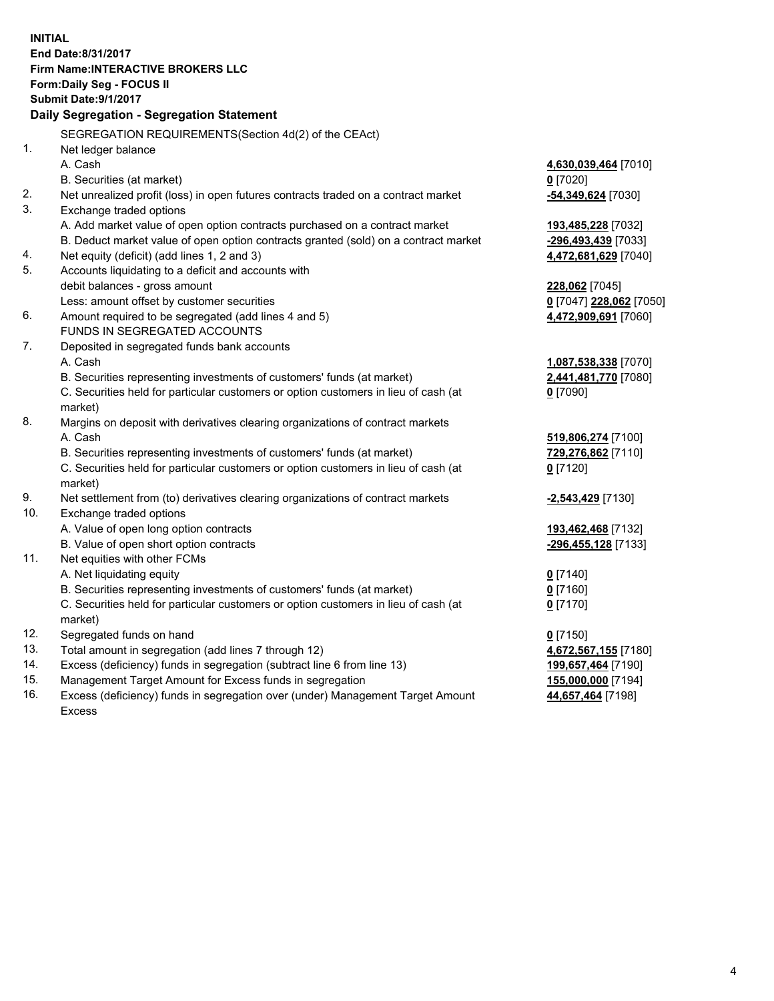**INITIAL End Date:8/31/2017 Firm Name:INTERACTIVE BROKERS LLC Form:Daily Seg - FOCUS II Submit Date:9/1/2017 Daily Segregation - Segregation Statement** SEGREGATION REQUIREMENTS(Section 4d(2) of the CEAct) 1. Net ledger balance A. Cash **4,630,039,464** [7010] B. Securities (at market) **0** [7020] 2. Net unrealized profit (loss) in open futures contracts traded on a contract market **-54,349,624** [7030] 3. Exchange traded options A. Add market value of open option contracts purchased on a contract market **193,485,228** [7032] B. Deduct market value of open option contracts granted (sold) on a contract market **-296,493,439** [7033] 4. Net equity (deficit) (add lines 1, 2 and 3) **4,472,681,629** [7040] 5. Accounts liquidating to a deficit and accounts with debit balances - gross amount **228,062** [7045] Less: amount offset by customer securities **0** [7047] **228,062** [7050] 6. Amount required to be segregated (add lines 4 and 5) **4,472,909,691** [7060] FUNDS IN SEGREGATED ACCOUNTS 7. Deposited in segregated funds bank accounts A. Cash **1,087,538,338** [7070] B. Securities representing investments of customers' funds (at market) **2,441,481,770** [7080] C. Securities held for particular customers or option customers in lieu of cash (at market) **0** [7090] 8. Margins on deposit with derivatives clearing organizations of contract markets A. Cash **519,806,274** [7100] B. Securities representing investments of customers' funds (at market) **729,276,862** [7110] C. Securities held for particular customers or option customers in lieu of cash (at market) **0** [7120] 9. Net settlement from (to) derivatives clearing organizations of contract markets **-2,543,429** [7130] 10. Exchange traded options A. Value of open long option contracts **193,462,468** [7132] B. Value of open short option contracts **-296,455,128** [7133] 11. Net equities with other FCMs A. Net liquidating equity **0** [7140] B. Securities representing investments of customers' funds (at market) **0** [7160] C. Securities held for particular customers or option customers in lieu of cash (at market) **0** [7170] 12. Segregated funds on hand **0** [7150] 13. Total amount in segregation (add lines 7 through 12) **4,672,567,155** [7180] 14. Excess (deficiency) funds in segregation (subtract line 6 from line 13) **199,657,464** [7190] 15. Management Target Amount for Excess funds in segregation **155,000,000** [7194] 16. Excess (deficiency) funds in segregation over (under) Management Target Amount **44,657,464** [7198]

Excess